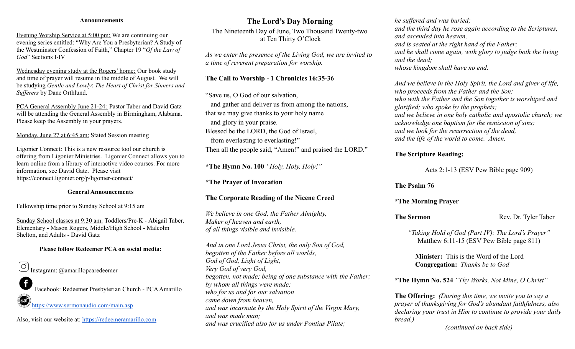#### **Announcements**

Evening Worship Service at 5:00 pm: We are continuing our evening series entitled: "Why Are You a Presbyterian? A Study of the Westminster Confession of Faith," Chapter 19 "*Of the Law of God*" Sections I-IV

Wednesday evening study at the Rogers' home: Our book study and time of prayer will resume in the middle of August. We will be studying *Gentle and Lowly*: *The Heart of Christ for Sinners and Sufferers* by Dane Orthlund.

PCA General Assembly June 21-24: Pastor Taber and David Gatz will be attending the General Assembly in Birmingham, Alabama. Please keep the Assembly in your prayers.

#### Monday, June 27 at 6:45 am: Stated Session meeting

Ligonier Connect: This is a new resource tool our church is offering from Ligonier Ministries. Ligonier Connect allows you to learn online from a library of interactive video courses. For more information, see David Gatz. Please visit https://connect.ligonier.org/p/ligonier-connect/

#### **General Announcements**

#### Fellowship time prior to Sunday School at 9:15 am

Sunday School classes at 9:30 am: Toddlers/Pre-K - Abigail Taber, Elementary - Mason Rogers, Middle/High School - Malcolm Shelton, and Adults - David Gatz

#### **Please follow Redeemer PCA on social media:**



Facebook: Redeemer Presbyterian Church - PCAAmarillo

<https://www.sermonaudio.com/main.asp>

Also, visit our website at: <https://redeemeramarillo.com>

## **The Lord's Day Morning**

The Nineteenth Day of June, Two Thousand Twenty-two at Ten Thirty O'Clock

*As we enter the presence of the Living God, we are invited to a time of reverent preparation for worship.*

#### **The Call to Worship - 1 Chronicles 16:35-36**

"Save us, O God of our salvation, and gather and deliver us from among the nations, that we may give thanks to your holy name and glory in your praise. Blessed be the LORD, the God of Israel, from everlasting to everlasting!" Then all the people said, "Amen!" and praised the LORD."

**\*The Hymn No. 100** *"Holy, Holy, Holy!"*

**\*The Prayer of Invocation**

#### **The Corporate Reading of the Nicene Creed**

*We believe in one God, the Father Almighty, Maker of heaven and earth, of all things visible and invisible.*

*And in one Lord Jesus Christ, the only Son of God, begotten of the Father before all worlds, God of God, Light of Light, Very God of very God, begotten, not made; being of one substance with the Father; by whom all things were made; who for us and for our salvation came down from heaven, and was incarnate by the Holy Spirit of the Virgin Mary, and was made man; and was crucified also for us under Pontius Pilate;*

*he suffered and was buried; and the third day he rose again according to the Scriptures, and ascended into heaven, and is seated at the right hand of the Father; and he shall come again, with glory to judge both the living and the dead; whose kingdom shall have no end.*

*And we believe in the Holy Spirit, the Lord and giver of life, who proceeds from the Father and the Son; who with the Father and the Son together is worshiped and glorified; who spoke by the prophets; and we believe in one holy catholic and apostolic church; we acknowledge one baptism for the remission of sins; and we look for the resurrection of the dead, and the life of the world to come. Amen.*

#### **The Scripture Reading:**

Acts 2:1-13 (ESV Pew Bible page 909)

#### **The Psalm 76**

**\*The Morning Prayer**

**The Sermon** Rev. Dr. Tyler Taber

*"Taking Hold of God (Part IV): The Lord's Prayer"* Matthew 6:11-15 (ESV Pew Bible page 811)

**Minister:** This is the Word of the Lord **Congregation:** *Thanks be to God*

**\*The Hymn No. 524** *"Thy Works, Not Mine, O Christ"*

**The Offering:** *(During this time, we invite you to say a prayer of thanksgiving for God's abundant faithfulness, also declaring your trust in Him to continue to provide your daily bread.)*

*(continued on back side)*